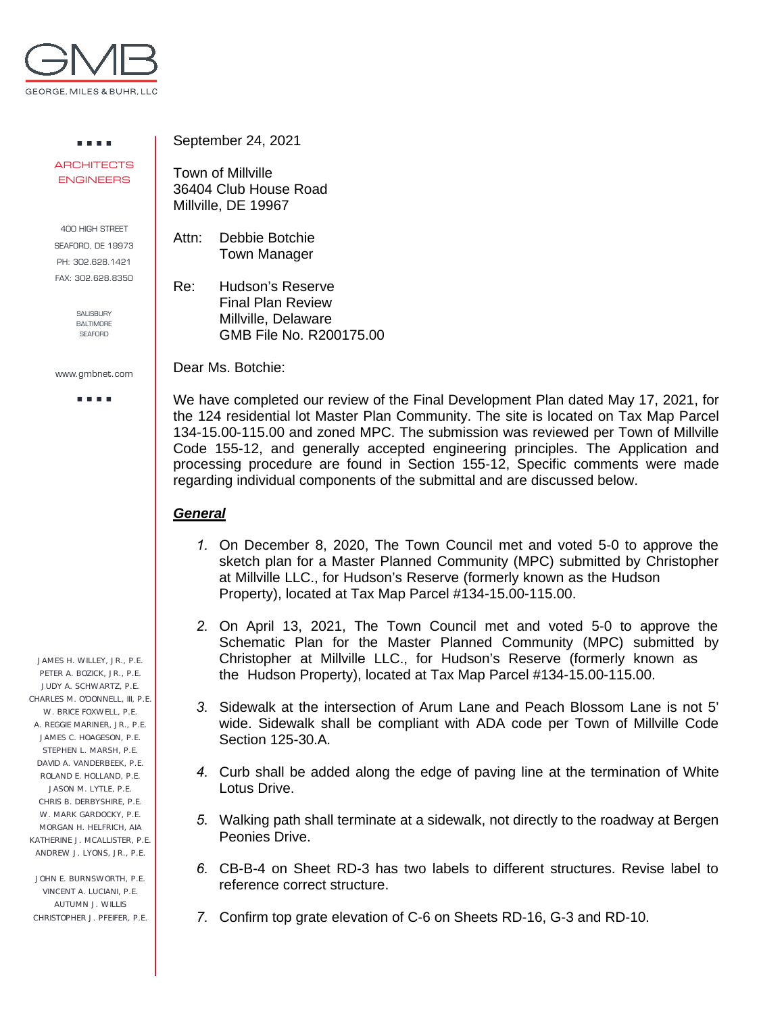

. . . . **ARCHITECTS** ENGINEERS

400 HIGH STREET SEAFORD, DE 19973 PH: 302.628.1421 FAX: 302.628.8350

> SALISBURY BALTIMORE **SEAFORD**

www.gmbnet.com

a a sua

 JAMES H. WILLEY, JR., P.E. PETER A. BOZICK, JR., P.E. JUDY A. SCHWARTZ, P.E. CHARLES M. O'DONNELL, III, P.E. W. BRICE FOXWELL, P.E. A. REGGIE MARINER, JR., P.E. JAMES C. HOAGESON, P.E. STEPHEN L. MARSH, P.E. DAVID A. VANDERBEEK, P.E. ROLAND E. HOLLAND, P.E. JASON M. LYTLE, P.E. CHRIS B. DERBYSHIRE, P.E. W. MARK GARDOCKY, P.E. MORGAN H. HELFRICH, AIA KATHERINE J. MCALLISTER, P.E. ANDREW J. LYONS, JR., P.E.

 JOHN E. BURNSWORTH, P.E. VINCENT A. LUCIANI, P.E. AUTUMN J. WILLIS CHRISTOPHER J. PFEIFER, P.E. September 24, 2021

Town of Millville 36404 Club House Road Millville, DE 19967

Attn: Debbie Botchie Town Manager

Re: Hudson's Reserve Final Plan Review Millville, Delaware GMB File No. R200175.00

Dear Ms. Botchie:

We have completed our review of the Final Development Plan dated May 17, 2021, for the 124 residential lot Master Plan Community. The site is located on Tax Map Parcel 134-15.00-115.00 and zoned MPC. The submission was reviewed per Town of Millville Code 155-12, and generally accepted engineering principles. The Application and processing procedure are found in Section 155-12, Specific comments were made regarding individual components of the submittal and are discussed below.

## *General*

- *1.* On December 8, 2020, The Town Council met and voted 5-0 to approve the sketch plan for a Master Planned Community (MPC) submitted by Christopher at Millville LLC., for Hudson's Reserve (formerly known as the Hudson Property), located at Tax Map Parcel #134-15.00-115.00.
- *2.* On April 13, 2021, The Town Council met and voted 5-0 to approve the Schematic Plan for the Master Planned Community (MPC) submitted by Christopher at Millville LLC., for Hudson's Reserve (formerly known as the Hudson Property), located at Tax Map Parcel #134-15.00-115.00.
- *3.* Sidewalk at the intersection of Arum Lane and Peach Blossom Lane is not 5' wide. Sidewalk shall be compliant with ADA code per Town of Millville Code Section 125-30.A.
- *4.* Curb shall be added along the edge of paving line at the termination of White Lotus Drive.
- *5.* Walking path shall terminate at a sidewalk, not directly to the roadway at Bergen Peonies Drive.
- *6.* CB-B-4 on Sheet RD-3 has two labels to different structures. Revise label to reference correct structure.
- *7.* Confirm top grate elevation of C-6 on Sheets RD-16, G-3 and RD-10.